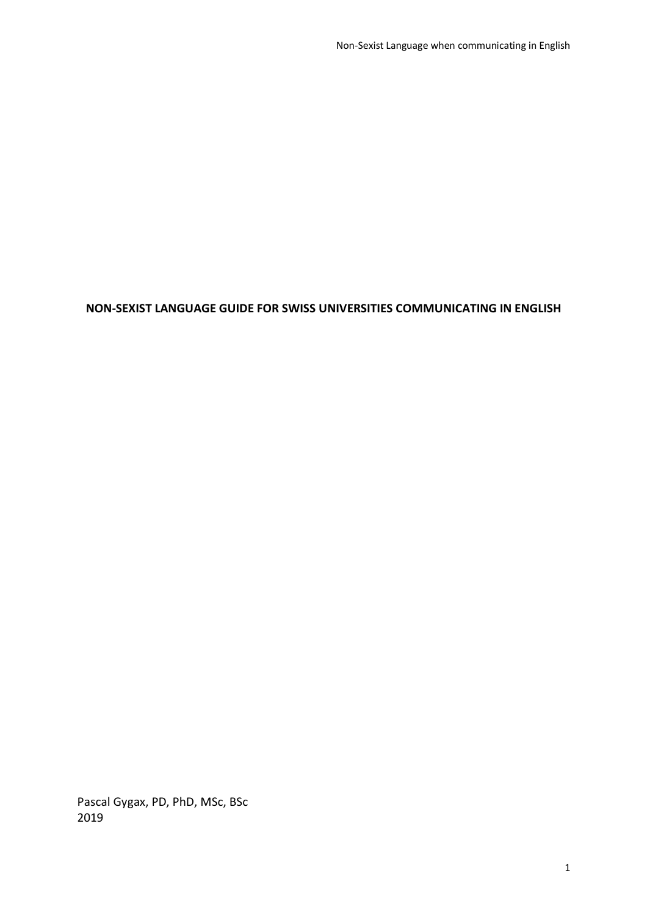# **NON-SEXIST LANGUAGE GUIDE FOR SWISS UNIVERSITIES COMMUNICATING IN ENGLISH**

Pascal Gygax, PD, PhD, MSc, BSc 2019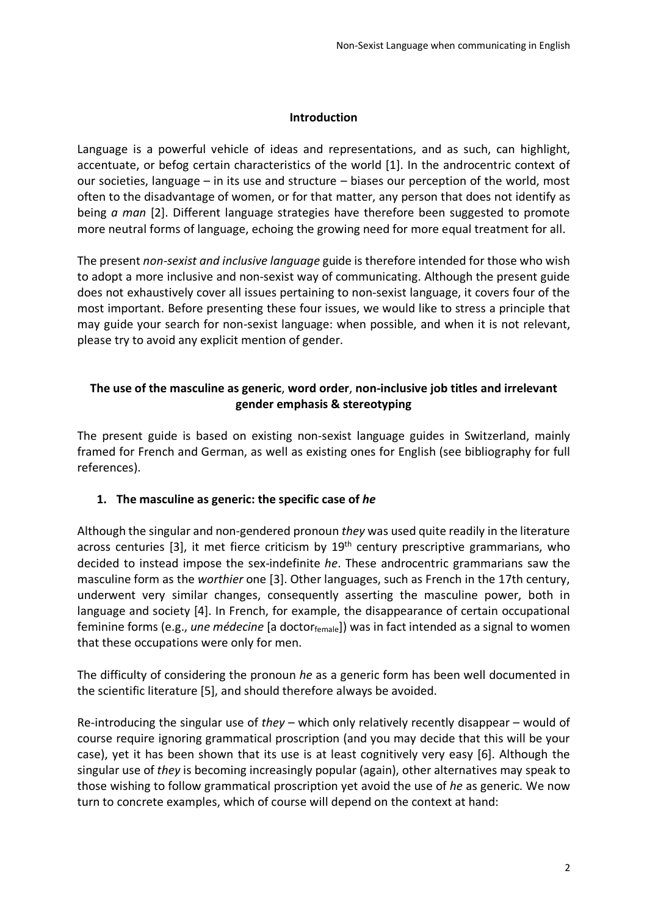#### **Introduction**

Language is a powerful vehicle of ideas and representations, and as such, can highlight, accentuate, or befog certain characteristics of the world [1]. In the androcentric context of our societies, language – in its use and structure – biases our perception of the world, most often to the disadvantage of women, or for that matter, any person that does not identify as being *a man* [2]. Different language strategies have therefore been suggested to promote more neutral forms of language, echoing the growing need for more equal treatment for all.

The present *non-sexist and inclusive language* guide is therefore intended for those who wish to adopt a more inclusive and non-sexist way of communicating. Although the present guide does not exhaustively cover all issues pertaining to non-sexist language, it covers four of the most important. Before presenting these four issues, we would like to stress a principle that may guide your search for non-sexist language: when possible, and when it is not relevant, please try to avoid any explicit mention of gender.

## **The use of the masculine as generic**, **word order**, **non-inclusive job titles and irrelevant gender emphasis & stereotyping**

The present guide is based on existing non-sexist language guides in Switzerland, mainly framed for French and German, as well as existing ones for English (see bibliography for full references).

### **1. The masculine as generic: the specific case of** *he*

Although the singular and non-gendered pronoun *they* was used quite readily in the literature across centuries [3], it met fierce criticism by  $19<sup>th</sup>$  century prescriptive grammarians, who decided to instead impose the sex-indefinite *he*. These androcentric grammarians saw the masculine form as the *worthier* one [3]. Other languages, such as French in the 17th century, underwent very similar changes, consequently asserting the masculine power, both in language and society [4]. In French, for example, the disappearance of certain occupational feminine forms (e.g., *une médecine* [a doctorfemale]) was in fact intended as a signal to women that these occupations were only for men.

The difficulty of considering the pronoun *he* as a generic form has been well documented in the scientific literature [5], and should therefore always be avoided.

Re-introducing the singular use of *they* – which only relatively recently disappear – would of course require ignoring grammatical proscription (and you may decide that this will be your case), yet it has been shown that its use is at least cognitively very easy [6]. Although the singular use of *they* is becoming increasingly popular (again), other alternatives may speak to those wishing to follow grammatical proscription yet avoid the use of *he* as generic. We now turn to concrete examples, which of course will depend on the context at hand: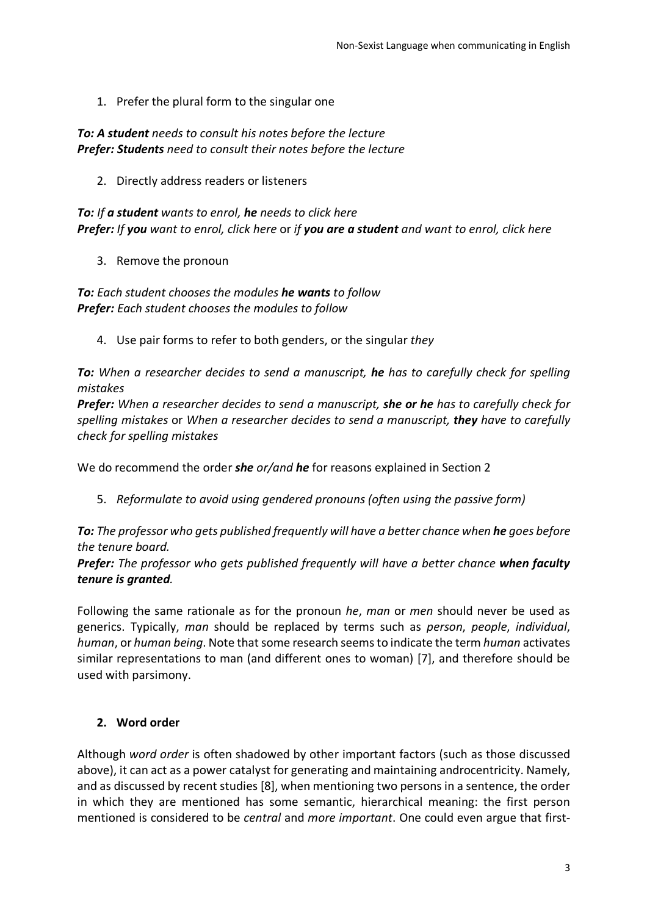1. Prefer the plural form to the singular one

*To: A student needs to consult his notes before the lecture Prefer: Students need to consult their notes before the lecture*

2. Directly address readers or listeners

*To: If a student wants to enrol, he needs to click here Prefer: If you want to enrol, click here* or *if you are a student and want to enrol, click here*

3. Remove the pronoun

*To: Each student chooses the modules he wants to follow Prefer: Each student chooses the modules to follow*

4. Use pair forms to refer to both genders, or the singular *they*

*To: When a researcher decides to send a manuscript, he has to carefully check for spelling mistakes* 

*Prefer: When a researcher decides to send a manuscript, she or he has to carefully check for spelling mistakes* or *When a researcher decides to send a manuscript, they have to carefully check for spelling mistakes*

We do recommend the order *she or/and he* for reasons explained in Section 2

5. *Reformulate to avoid using gendered pronouns (often using the passive form)*

**To:** The professor who gets published frequently will have a better chance when **he** goes before *the tenure board.* 

*Prefer: The professor who gets published frequently will have a better chance when faculty tenure is granted.* 

Following the same rationale as for the pronoun *he*, *man* or *men* should never be used as generics. Typically, *man* should be replaced by terms such as *person*, *people*, *individual*, *human*, or *human being*. Note that some research seems to indicate the term *human* activates similar representations to man (and different ones to woman) [7], and therefore should be used with parsimony.

## **2. Word order**

Although *word order* is often shadowed by other important factors (such as those discussed above), it can act as a power catalyst for generating and maintaining androcentricity. Namely, and as discussed by recent studies [8], when mentioning two persons in a sentence, the order in which they are mentioned has some semantic, hierarchical meaning: the first person mentioned is considered to be *central* and *more important*. One could even argue that first-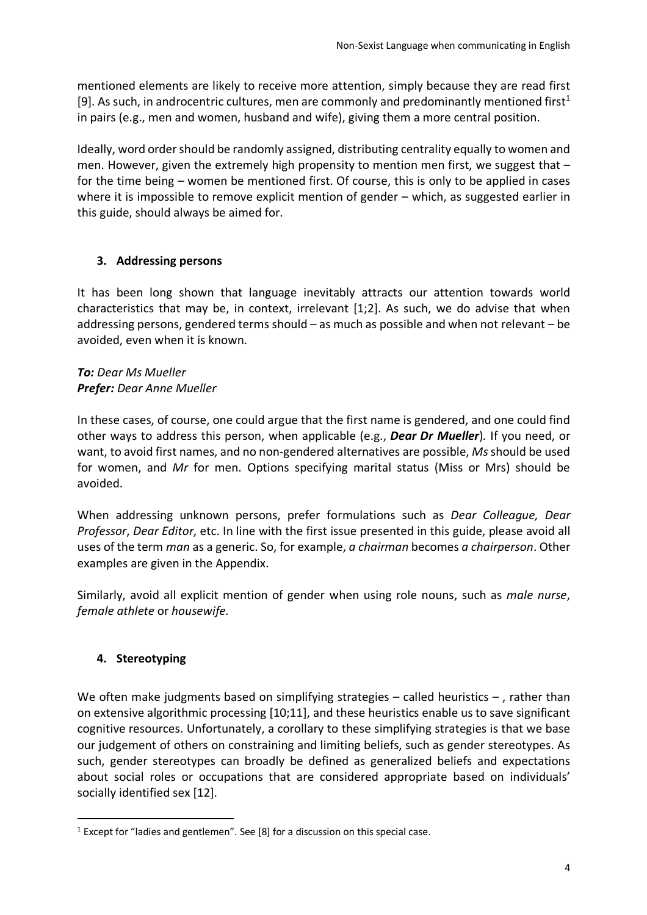mentioned elements are likely to receive more attention, simply because they are read first [9]. As such, in androcentric cultures, men are commonly and predominantly mentioned first<sup>1</sup> in pairs (e.g., men and women, husband and wife), giving them a more central position.

Ideally, word order should be randomly assigned, distributing centrality equally to women and men. However, given the extremely high propensity to mention men first, we suggest that for the time being – women be mentioned first. Of course, this is only to be applied in cases where it is impossible to remove explicit mention of gender – which, as suggested earlier in this guide, should always be aimed for.

# **3. Addressing persons**

It has been long shown that language inevitably attracts our attention towards world characteristics that may be, in context, irrelevant [1;2]. As such, we do advise that when addressing persons, gendered terms should – as much as possible and when not relevant – be avoided, even when it is known.

### *To: Dear Ms Mueller Prefer: Dear Anne Mueller*

In these cases, of course, one could argue that the first name is gendered, and one could find other ways to address this person, when applicable (e.g., *Dear Dr Mueller*)*.* If you need, or want, to avoid first names, and no non-gendered alternatives are possible, *Ms*should be used for women, and *Mr* for men. Options specifying marital status (Miss or Mrs) should be avoided.

When addressing unknown persons, prefer formulations such as *Dear Colleague, Dear Professor*, *Dear Editor*, etc. In line with the first issue presented in this guide, please avoid all uses of the term *man* as a generic. So, for example, *a chairman* becomes *a chairperson*. Other examples are given in the Appendix.

Similarly, avoid all explicit mention of gender when using role nouns, such as *male nurse*, *female athlete* or *housewife.*

# **4. Stereotyping**

We often make judgments based on simplifying strategies – called heuristics –, rather than on extensive algorithmic processing [10;11], and these heuristics enable us to save significant cognitive resources. Unfortunately, a corollary to these simplifying strategies is that we base our judgement of others on constraining and limiting beliefs, such as gender stereotypes. As such, gender stereotypes can broadly be defined as generalized beliefs and expectations about social roles or occupations that are considered appropriate based on individuals' socially identified sex [12].

 $1$  Except for "ladies and gentlemen". See [8] for a discussion on this special case.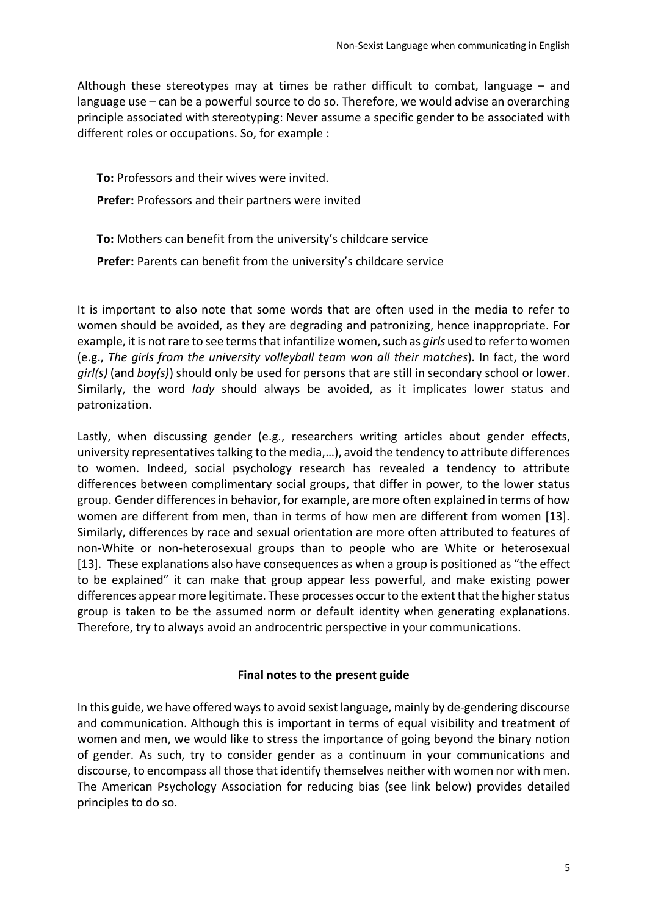Although these stereotypes may at times be rather difficult to combat, language – and language use – can be a powerful source to do so. Therefore, we would advise an overarching principle associated with stereotyping: Never assume a specific gender to be associated with different roles or occupations. So, for example :

**To:** Professors and their wives were invited.

**Prefer:** Professors and their partners were invited

**To:** Mothers can benefit from the university's childcare service

**Prefer:** Parents can benefit from the university's childcare service

It is important to also note that some words that are often used in the media to refer to women should be avoided, as they are degrading and patronizing, hence inappropriate. For example, it is not rare to see terms that infantilize women, such as *girls* used to refer to women (e.g., *The girls from the university volleyball team won all their matches*). In fact, the word *girl(s)* (and *boy(s)*) should only be used for persons that are still in secondary school or lower. Similarly, the word *lady* should always be avoided, as it implicates lower status and patronization.

Lastly, when discussing gender (e.g., researchers writing articles about gender effects, university representatives talking to the media,…), avoid the tendency to attribute differences to women. Indeed, social psychology research has revealed a tendency to attribute differences between complimentary social groups, that differ in power, to the lower status group. Gender differences in behavior, for example, are more often explained in terms of how women are different from men, than in terms of how men are different from women [13]. Similarly, differences by race and sexual orientation are more often attributed to features of non-White or non-heterosexual groups than to people who are White or heterosexual [13]. These explanations also have consequences as when a group is positioned as "the effect to be explained" it can make that group appear less powerful, and make existing power differences appear more legitimate. These processes occur to the extent that the higher status group is taken to be the assumed norm or default identity when generating explanations. Therefore, try to always avoid an androcentric perspective in your communications.

### **Final notes to the present guide**

In this guide, we have offered ways to avoid sexist language, mainly by de-gendering discourse and communication. Although this is important in terms of equal visibility and treatment of women and men, we would like to stress the importance of going beyond the binary notion of gender. As such, try to consider gender as a continuum in your communications and discourse, to encompass all those that identify themselves neither with women nor with men. The American Psychology Association for reducing bias (see link below) provides detailed principles to do so.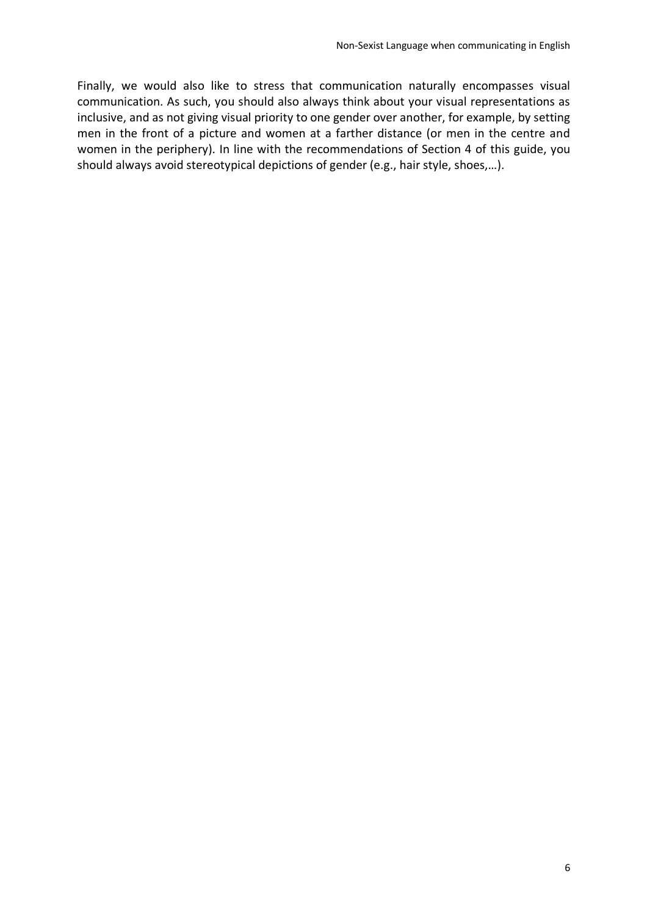Finally, we would also like to stress that communication naturally encompasses visual communication. As such, you should also always think about your visual representations as inclusive, and as not giving visual priority to one gender over another, for example, by setting men in the front of a picture and women at a farther distance (or men in the centre and women in the periphery). In line with the recommendations of Section 4 of this guide, you should always avoid stereotypical depictions of gender (e.g., hair style, shoes,…).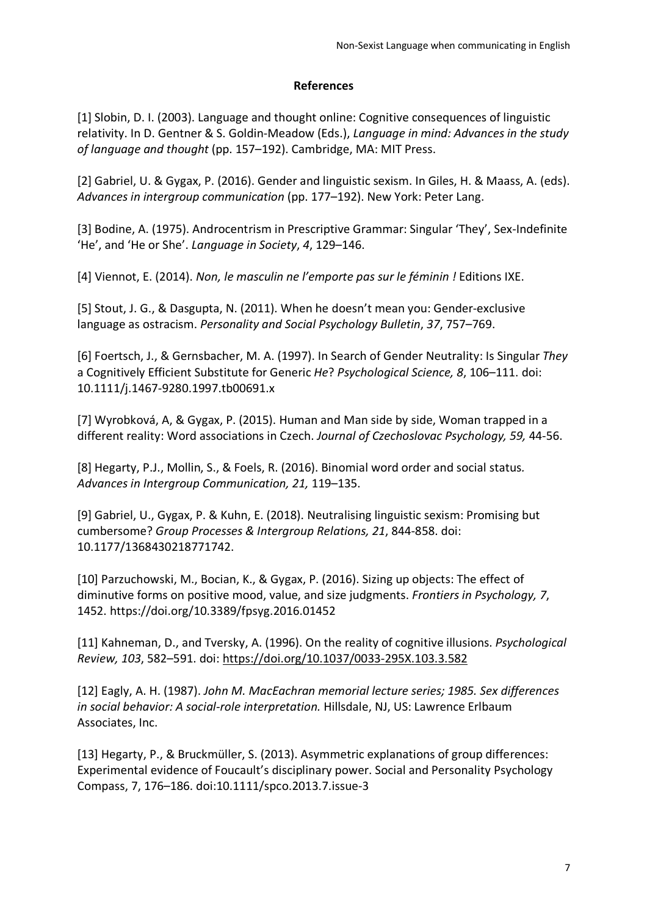### **References**

[1] Slobin, D. I. (2003). Language and thought online: Cognitive consequences of linguistic relativity. In D. Gentner & S. Goldin-Meadow (Eds.), *Language in mind: Advances in the study of language and thought* (pp. 157–192). Cambridge, MA: MIT Press.

[2] Gabriel, U. & Gygax, P. (2016). Gender and linguistic sexism. In Giles, H. & Maass, A. (eds). *Advances in intergroup communication* (pp. 177–192). New York: Peter Lang.

[3] Bodine, A. (1975). Androcentrism in Prescriptive Grammar: Singular 'They', Sex-Indefinite 'He', and 'He or She'. *Language in Society*, *4*, 129–146.

[4] Viennot, E. (2014). *Non, le masculin ne l'emporte pas sur le féminin !* Editions IXE.

[5] Stout, J. G., & Dasgupta, N. (2011). When he doesn't mean you: Gender-exclusive language as ostracism. *Personality and Social Psychology Bulletin*, *37*, 757–769.

[6] Foertsch, J., & Gernsbacher, M. A. (1997). In Search of Gender Neutrality: Is Singular *They* a Cognitively Efficient Substitute for Generic *He*? *Psychological Science, 8*, 106–111. doi: 10.1111/j.1467-9280.1997.tb00691.x

[7] Wyrobková, A, & Gygax, P. (2015). Human and Man side by side, Woman trapped in a different reality: Word associations in Czech. *Journal of Czechoslovac Psychology, 59,* 44-56.

[8] Hegarty, P.J., Mollin, S., & Foels, R. (2016). Binomial word order and social status*. Advances in Intergroup Communication, 21,* 119–135.

[9] Gabriel, U., Gygax, P. & Kuhn, E. (2018). Neutralising linguistic sexism: Promising but cumbersome? *Group Processes & Intergroup Relations, 21*, 844-858. doi: 10.1177/1368430218771742.

[10] Parzuchowski, M., Bocian, K., & Gygax, P. (2016). Sizing up objects: The effect of diminutive forms on positive mood, value, and size judgments. *Frontiers in Psychology, 7*, 1452. https://doi.org/10.3389/fpsyg.2016.01452

[11] Kahneman, D., and Tversky, A. (1996). On the reality of cognitive illusions. *Psychological Review, 103*, 582–591. doi: https://doi.org/10.1037/0033-295X.103.3.582

[12] Eagly, A. H. (1987). *John M. MacEachran memorial lecture series; 1985. Sex differences in social behavior: A social-role interpretation.* Hillsdale, NJ, US: Lawrence Erlbaum Associates, Inc.

[13] Hegarty, P., & Bruckmüller, S. (2013). Asymmetric explanations of group differences: Experimental evidence of Foucault's disciplinary power. Social and Personality Psychology Compass, 7, 176–186. doi:10.1111/spco.2013.7.issue-3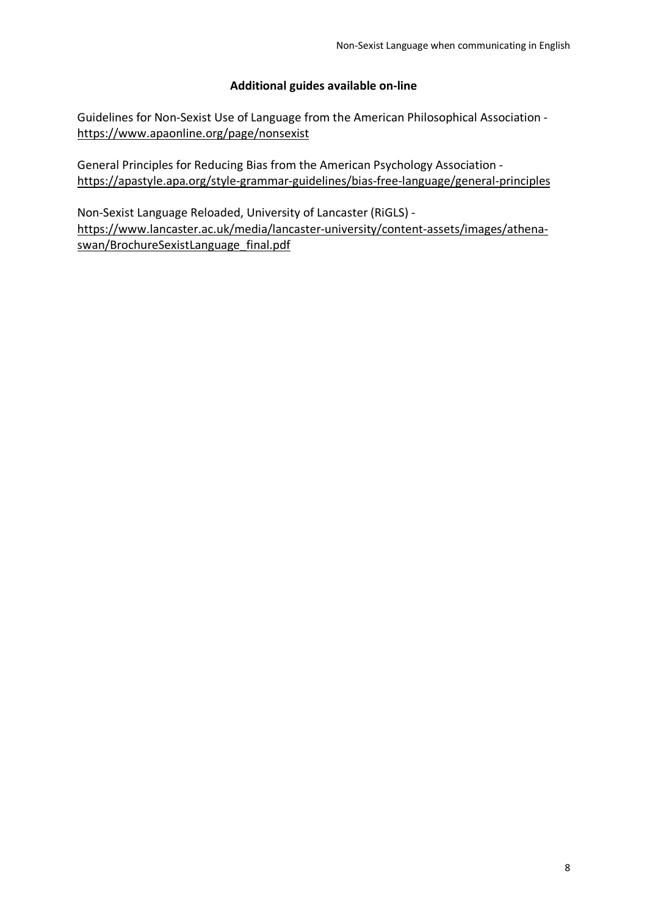### **Additional guides available on-line**

Guidelines for Non-Sexist Use of Language from the American Philosophical Association https://www.apaonline.org/page/nonsexist

General Principles for Reducing Bias from the American Psychology Association https://apastyle.apa.org/style-grammar-guidelines/bias-free-language/general-principles

Non-Sexist Language Reloaded, University of Lancaster (RiGLS) https://www.lancaster.ac.uk/media/lancaster-university/content-assets/images/athenaswan/BrochureSexistLanguage\_final.pdf